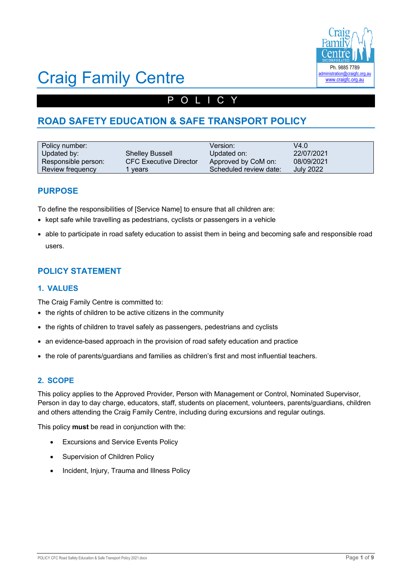

# Craig Family Centre

# POLICY

# **ROAD SAFETY EDUCATION & SAFE TRANSPORT POLICY**

| Policy number:      |                               | Version:               | V4.0             |
|---------------------|-------------------------------|------------------------|------------------|
| Updated by:         | <b>Shelley Bussell</b>        | Updated on:            | 22/07/2021       |
| Responsible person: | <b>CFC Executive Director</b> | Approved by CoM on:    | 08/09/2021       |
| Review frequency    | years                         | Scheduled review date: | <b>July 2022</b> |

## **PURPOSE**

To define the responsibilities of [Service Name] to ensure that all children are:

- kept safe while travelling as pedestrians, cyclists or passengers in a vehicle
- able to participate in road safety education to assist them in being and becoming safe and responsible road users.

# **POLICY STATEMENT**

#### **1. VALUES**

The Craig Family Centre is committed to:

- the rights of children to be active citizens in the community
- the rights of children to travel safely as passengers, pedestrians and cyclists
- an evidence-based approach in the provision of road safety education and practice
- the role of parents/guardians and families as children's first and most influential teachers.

#### **2. SCOPE**

This policy applies to the Approved Provider, Person with Management or Control, Nominated Supervisor, Person in day to day charge, educators, staff, students on placement, volunteers, parents/guardians, children and others attending the Craig Family Centre, including during excursions and regular outings.

This policy **must** be read in conjunction with the:

- Excursions and Service Events Policy
- Supervision of Children Policy
- Incident, Injury, Trauma and Illness Policy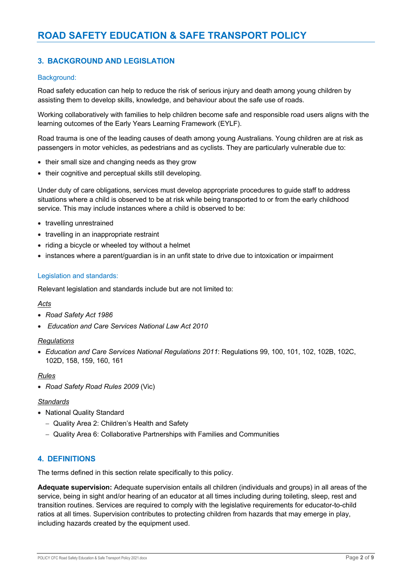## **3. BACKGROUND AND LEGISLATION**

#### Background:

Road safety education can help to reduce the risk of serious injury and death among young children by assisting them to develop skills, knowledge, and behaviour about the safe use of roads.

Working collaboratively with families to help children become safe and responsible road users aligns with the learning outcomes of the Early Years Learning Framework (EYLF).

Road trauma is one of the leading causes of death among young Australians. Young children are at risk as passengers in motor vehicles, as pedestrians and as cyclists. They are particularly vulnerable due to:

- their small size and changing needs as they grow
- their cognitive and perceptual skills still developing.

Under duty of care obligations, services must develop appropriate procedures to guide staff to address situations where a child is observed to be at risk while being transported to or from the early childhood service. This may include instances where a child is observed to be:

- travelling unrestrained
- travelling in an inappropriate restraint
- riding a bicycle or wheeled toy without a helmet
- instances where a parent/guardian is in an unfit state to drive due to intoxication or impairment

#### Legislation and standards:

Relevant legislation and standards include but are not limited to:

#### *Acts*

- *Road Safety Act 1986*
- *Education and Care Services National Law Act 2010*

#### *Regulations*

• *Education and Care Services National Regulations 2011*: Regulations 99, 100, 101, 102, 102B, 102C, 102D, 158, 159, 160, 161

#### *Rules*

• *Road Safety Road Rules 2009* (Vic)

#### *Standards*

- National Quality Standard
	- Quality Area 2: Children's Health and Safety
	- Quality Area 6: Collaborative Partnerships with Families and Communities

#### **4. DEFINITIONS**

The terms defined in this section relate specifically to this policy.

**Adequate supervision:** Adequate supervision entails all children (individuals and groups) in all areas of the service, being in sight and/or hearing of an educator at all times including during toileting, sleep, rest and transition routines. Services are required to comply with the legislative requirements for educator-to-child ratios at all times. Supervision contributes to protecting children from hazards that may emerge in play, including hazards created by the equipment used.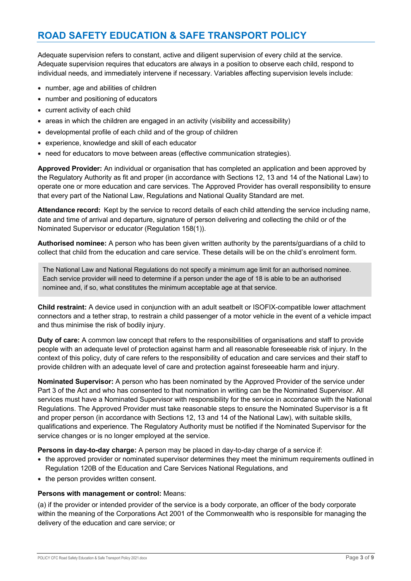Adequate supervision refers to constant, active and diligent supervision of every child at the service. Adequate supervision requires that educators are always in a position to observe each child, respond to individual needs, and immediately intervene if necessary. Variables affecting supervision levels include:

- number, age and abilities of children
- number and positioning of educators
- current activity of each child
- areas in which the children are engaged in an activity (visibility and accessibility)
- developmental profile of each child and of the group of children
- experience, knowledge and skill of each educator
- need for educators to move between areas (effective communication strategies).

**Approved Provider:** An individual or organisation that has completed an application and been approved by the Regulatory Authority as fit and proper (in accordance with Sections 12, 13 and 14 of the National Law) to operate one or more education and care services. The Approved Provider has overall responsibility to ensure that every part of the National Law, Regulations and National Quality Standard are met.

**Attendance record:** Kept by the service to record details of each child attending the service including name, date and time of arrival and departure, signature of person delivering and collecting the child or of the Nominated Supervisor or educator (Regulation 158(1)).

**Authorised nominee:** A person who has been given written authority by the parents/guardians of a child to collect that child from the education and care service. These details will be on the child's enrolment form.

The National Law and National Regulations do not specify a minimum age limit for an authorised nominee. Each service provider will need to determine if a person under the age of 18 is able to be an authorised nominee and, if so, what constitutes the minimum acceptable age at that service.

**Child restraint:** A device used in conjunction with an adult seatbelt or ISOFIX-compatible lower attachment connectors and a tether strap, to restrain a child passenger of a motor vehicle in the event of a vehicle impact and thus minimise the risk of bodily injury.

**Duty of care:** A common law concept that refers to the responsibilities of organisations and staff to provide people with an adequate level of protection against harm and all reasonable foreseeable risk of injury. In the context of this policy, duty of care refers to the responsibility of education and care services and their staff to provide children with an adequate level of care and protection against foreseeable harm and injury.

**Nominated Supervisor:** A person who has been nominated by the Approved Provider of the service under Part 3 of the Act and who has consented to that nomination in writing can be the Nominated Supervisor. All services must have a Nominated Supervisor with responsibility for the service in accordance with the National Regulations. The Approved Provider must take reasonable steps to ensure the Nominated Supervisor is a fit and proper person (in accordance with Sections 12, 13 and 14 of the National Law), with suitable skills, qualifications and experience. The Regulatory Authority must be notified if the Nominated Supervisor for the service changes or is no longer employed at the service.

**Persons in day-to-day charge:** A person may be placed in day-to-day charge of a service if:

- the approved provider or nominated supervisor determines they meet the minimum requirements outlined in Regulation 120B of the Education and Care Services National Regulations, and
- the person provides written consent.

#### **Persons with management or control:** Means:

(a) if the provider or intended provider of the service is a body corporate, an officer of the body corporate within the meaning of the Corporations Act 2001 of the Commonwealth who is responsible for managing the delivery of the education and care service; or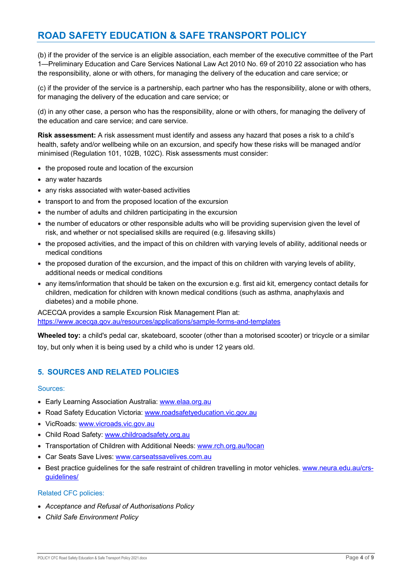(b) if the provider of the service is an eligible association, each member of the executive committee of the Part 1—Preliminary Education and Care Services National Law Act 2010 No. 69 of 2010 22 association who has the responsibility, alone or with others, for managing the delivery of the education and care service; or

(c) if the provider of the service is a partnership, each partner who has the responsibility, alone or with others, for managing the delivery of the education and care service; or

(d) in any other case, a person who has the responsibility, alone or with others, for managing the delivery of the education and care service; and care service.

**Risk assessment:** A risk assessment must identify and assess any hazard that poses a risk to a child's health, safety and/or wellbeing while on an excursion, and specify how these risks will be managed and/or minimised (Regulation 101, 102B, 102C). Risk assessments must consider:

- the proposed route and location of the excursion
- any water hazards
- any risks associated with water-based activities
- transport to and from the proposed location of the excursion
- the number of adults and children participating in the excursion
- the number of educators or other responsible adults who will be providing supervision given the level of risk, and whether or not specialised skills are required (e.g. lifesaving skills)
- the proposed activities, and the impact of this on children with varying levels of ability, additional needs or medical conditions
- the proposed duration of the excursion, and the impact of this on children with varying levels of ability, additional needs or medical conditions
- any items/information that should be taken on the excursion e.g. first aid kit, emergency contact details for children, medication for children with known medical conditions (such as asthma, anaphylaxis and diabetes) and a mobile phone.

ACECQA provides a sample Excursion Risk Management Plan at: https://www.acecqa.gov.au/resources/applications/sample-forms-and-templates

**Wheeled toy:** a child's pedal car, skateboard, scooter (other than a motorised scooter) or tricycle or a similar toy, but only when it is being used by a child who is under 12 years old.

#### **5. SOURCES AND RELATED POLICIES**

#### Sources:

- Early Learning Association Australia: www.elaa.org.au
- Road Safety Education Victoria: www.roadsafetyeducation.vic.gov.au
- VicRoads: www.vicroads.vic.gov.au
- Child Road Safety: www.childroadsafety.org.au
- Transportation of Children with Additional Needs: www.rch.org.au/tocan
- Car Seats Save Lives: www.carseatssavelives.com.au
- Best practice guidelines for the safe restraint of children travelling in motor vehicles. www.neura.edu.au/crsguidelines/

#### Related CFC policies:

- *Acceptance and Refusal of Authorisations Policy*
- *Child Safe Environment Policy*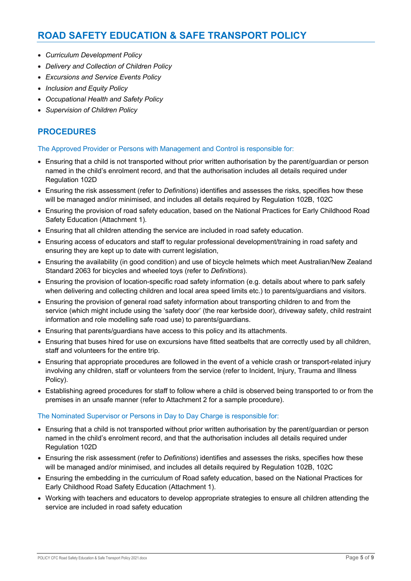- *Curriculum Development Policy*
- *Delivery and Collection of Children Policy*
- *Excursions and Service Events Policy*
- *Inclusion and Equity Policy*
- *Occupational Health and Safety Policy*
- *Supervision of Children Policy*

## **PROCEDURES**

The Approved Provider or Persons with Management and Control is responsible for:

- Ensuring that a child is not transported without prior written authorisation by the parent/guardian or person named in the child's enrolment record, and that the authorisation includes all details required under Regulation 102D
- Ensuring the risk assessment (refer to *Definitions*) identifies and assesses the risks, specifies how these will be managed and/or minimised, and includes all details required by Regulation 102B, 102C
- Ensuring the provision of road safety education, based on the National Practices for Early Childhood Road Safety Education (Attachment 1).
- Ensuring that all children attending the service are included in road safety education.
- Ensuring access of educators and staff to regular professional development/training in road safety and ensuring they are kept up to date with current legislation,
- Ensuring the availability (in good condition) and use of bicycle helmets which meet Australian/New Zealand Standard 2063 for bicycles and wheeled toys (refer to *Definitions*).
- Ensuring the provision of location-specific road safety information (e.g. details about where to park safely when delivering and collecting children and local area speed limits etc.) to parents/guardians and visitors.
- Ensuring the provision of general road safety information about transporting children to and from the service (which might include using the 'safety door' (the rear kerbside door), driveway safety, child restraint information and role modelling safe road use) to parents/guardians.
- Ensuring that parents/guardians have access to this policy and its attachments.
- Ensuring that buses hired for use on excursions have fitted seatbelts that are correctly used by all children, staff and volunteers for the entire trip.
- Ensuring that appropriate procedures are followed in the event of a vehicle crash or transport-related injury involving any children, staff or volunteers from the service (refer to Incident, Injury, Trauma and Illness Policy).
- Establishing agreed procedures for staff to follow where a child is observed being transported to or from the premises in an unsafe manner (refer to Attachment 2 for a sample procedure).

#### The Nominated Supervisor or Persons in Day to Day Charge is responsible for:

- Ensuring that a child is not transported without prior written authorisation by the parent/guardian or person named in the child's enrolment record, and that the authorisation includes all details required under Regulation 102D
- Ensuring the risk assessment (refer to *Definitions*) identifies and assesses the risks, specifies how these will be managed and/or minimised, and includes all details required by Regulation 102B, 102C
- Ensuring the embedding in the curriculum of Road safety education, based on the National Practices for Early Childhood Road Safety Education (Attachment 1).
- Working with teachers and educators to develop appropriate strategies to ensure all children attending the service are included in road safety education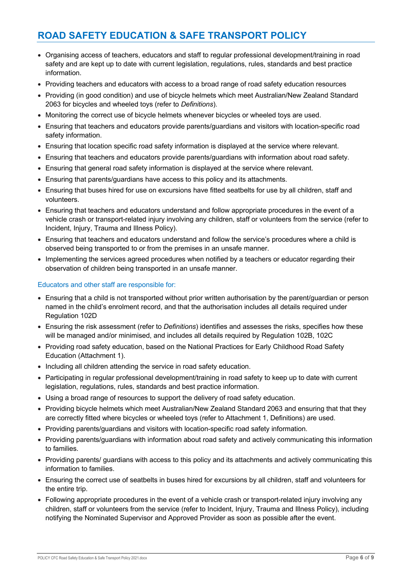- Organising access of teachers, educators and staff to regular professional development/training in road safety and are kept up to date with current legislation, regulations, rules, standards and best practice information.
- Providing teachers and educators with access to a broad range of road safety education resources
- Providing (in good condition) and use of bicycle helmets which meet Australian/New Zealand Standard 2063 for bicycles and wheeled toys (refer to *Definitions*).
- Monitoring the correct use of bicycle helmets whenever bicycles or wheeled toys are used.
- Ensuring that teachers and educators provide parents/guardians and visitors with location-specific road safety information.
- Ensuring that location specific road safety information is displayed at the service where relevant.
- Ensuring that teachers and educators provide parents/guardians with information about road safety.
- Ensuring that general road safety information is displayed at the service where relevant.
- Ensuring that parents/guardians have access to this policy and its attachments.
- Ensuring that buses hired for use on excursions have fitted seatbelts for use by all children, staff and volunteers.
- Ensuring that teachers and educators understand and follow appropriate procedures in the event of a vehicle crash or transport-related injury involving any children, staff or volunteers from the service (refer to Incident, Injury, Trauma and Illness Policy).
- Ensuring that teachers and educators understand and follow the service's procedures where a child is observed being transported to or from the premises in an unsafe manner.
- Implementing the services agreed procedures when notified by a teachers or educator regarding their observation of children being transported in an unsafe manner.

#### Educators and other staff are responsible for:

- Ensuring that a child is not transported without prior written authorisation by the parent/guardian or person named in the child's enrolment record, and that the authorisation includes all details required under Regulation 102D
- Ensuring the risk assessment (refer to *Definitions*) identifies and assesses the risks, specifies how these will be managed and/or minimised, and includes all details required by Regulation 102B, 102C
- Providing road safety education, based on the National Practices for Early Childhood Road Safety Education (Attachment 1).
- Including all children attending the service in road safety education.
- Participating in regular professional development/training in road safety to keep up to date with current legislation, regulations, rules, standards and best practice information.
- Using a broad range of resources to support the delivery of road safety education.
- Providing bicycle helmets which meet Australian/New Zealand Standard 2063 and ensuring that that they are correctly fitted where bicycles or wheeled toys (refer to Attachment 1, Definitions) are used.
- Providing parents/guardians and visitors with location-specific road safety information.
- Providing parents/guardians with information about road safety and actively communicating this information to families.
- Providing parents/ guardians with access to this policy and its attachments and actively communicating this information to families.
- Ensuring the correct use of seatbelts in buses hired for excursions by all children, staff and volunteers for the entire trip.
- Following appropriate procedures in the event of a vehicle crash or transport-related injury involving any children, staff or volunteers from the service (refer to Incident, Injury, Trauma and Illness Policy), including notifying the Nominated Supervisor and Approved Provider as soon as possible after the event.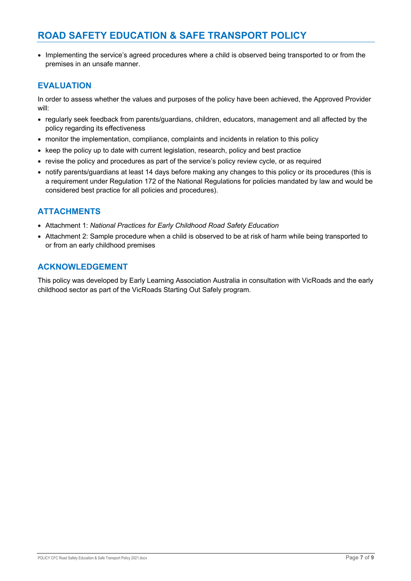• Implementing the service's agreed procedures where a child is observed being transported to or from the premises in an unsafe manner.

## **EVALUATION**

In order to assess whether the values and purposes of the policy have been achieved, the Approved Provider will:

- regularly seek feedback from parents/guardians, children, educators, management and all affected by the policy regarding its effectiveness
- monitor the implementation, compliance, complaints and incidents in relation to this policy
- keep the policy up to date with current legislation, research, policy and best practice
- revise the policy and procedures as part of the service's policy review cycle, or as required
- notify parents/guardians at least 14 days before making any changes to this policy or its procedures (this is a requirement under Regulation 172 of the National Regulations for policies mandated by law and would be considered best practice for all policies and procedures).

## **ATTACHMENTS**

- Attachment 1: *National Practices for Early Childhood Road Safety Education*
- Attachment 2: Sample procedure when a child is observed to be at risk of harm while being transported to or from an early childhood premises

## **ACKNOWLEDGEMENT**

This policy was developed by Early Learning Association Australia in consultation with VicRoads and the early childhood sector as part of the VicRoads Starting Out Safely program.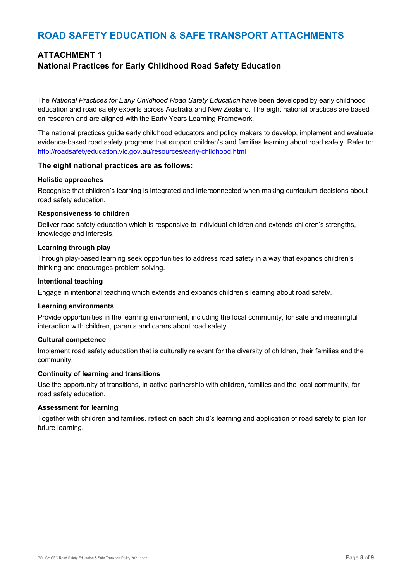# **ATTACHMENT 1 National Practices for Early Childhood Road Safety Education**

The *National Practices for Early Childhood Road Safety Education* have been developed by early childhood education and road safety experts across Australia and New Zealand. The eight national practices are based on research and are aligned with the Early Years Learning Framework.

The national practices guide early childhood educators and policy makers to develop, implement and evaluate evidence-based road safety programs that support children's and families learning about road safety. Refer to: http://roadsafetyeducation.vic.gov.au/resources/early-childhood.html

#### **The eight national practices are as follows:**

#### **Holistic approaches**

Recognise that children's learning is integrated and interconnected when making curriculum decisions about road safety education.

#### **Responsiveness to children**

Deliver road safety education which is responsive to individual children and extends children's strengths, knowledge and interests.

#### **Learning through play**

Through play-based learning seek opportunities to address road safety in a way that expands children's thinking and encourages problem solving.

#### **Intentional teaching**

Engage in intentional teaching which extends and expands children's learning about road safety.

#### **Learning environments**

Provide opportunities in the learning environment, including the local community, for safe and meaningful interaction with children, parents and carers about road safety.

#### **Cultural competence**

Implement road safety education that is culturally relevant for the diversity of children, their families and the community.

#### **Continuity of learning and transitions**

Use the opportunity of transitions, in active partnership with children, families and the local community, for road safety education.

#### **Assessment for learning**

Together with children and families, reflect on each child's learning and application of road safety to plan for future learning.